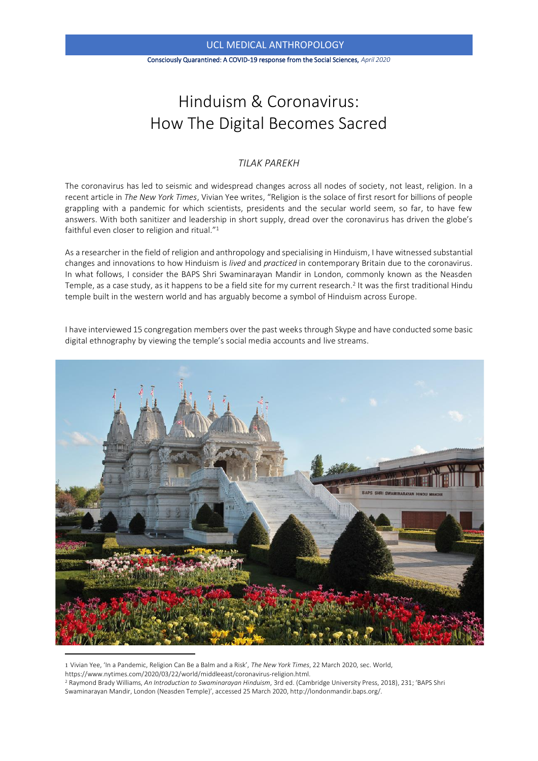#### Consciously Quarantined: A COVID-19 response from the Social Sciences, *April 2020*

# Hinduism & Coronavirus: How The Digital Becomes Sacred

# *TILAK PAREKH*

The coronavirus has led to seismic and widespread changes across all nodes of society, not least, religion. In a recent article in *The New York Times*, Vivian Yee writes, "Religion is the solace of first resort for billions of people grappling with a pandemic for which scientists, presidents and the secular world seem, so far, to have few answers. With both sanitizer and leadership in short supply, dread over the coronavirus has driven the globe's faithful even closer to religion and ritual."<sup>1</sup>

As a researcher in the field of religion and anthropology and specialising in Hinduism, I have witnessed substantial changes and innovations to how Hinduism is *lived* and *practiced* in contemporary Britain due to the coronavirus. In what follows, I consider the BAPS Shri Swaminarayan Mandir in London, commonly known as the Neasden Temple, as a case study, as it happens to be a field site for my current research.<sup>2</sup> It was the first traditional Hindu temple built in the western world and has arguably become a symbol of Hinduism across Europe.



I have interviewed 15 congregation members over the past weeks through Skype and have conducted some basic digital ethnography by viewing the temple's social media accounts and live streams.

1 Vivian Yee, 'In a Pandemic, Religion Can Be a Balm and a Risk', *The New York Times*, 22 March 2020, sec. World, https://www.nytimes.com/2020/03/22/world/middleeast/coronavirus-religion.html. <sup>2</sup> Raymond Brady Williams, *An Introduction to Swaminarayan Hinduism*, 3rd ed. (Cambridge University Press, 2018), 231; 'BAPS Shri Swaminarayan Mandir, London (Neasden Temple)', accessed 25 March 2020, http://londonmandir.baps.org/.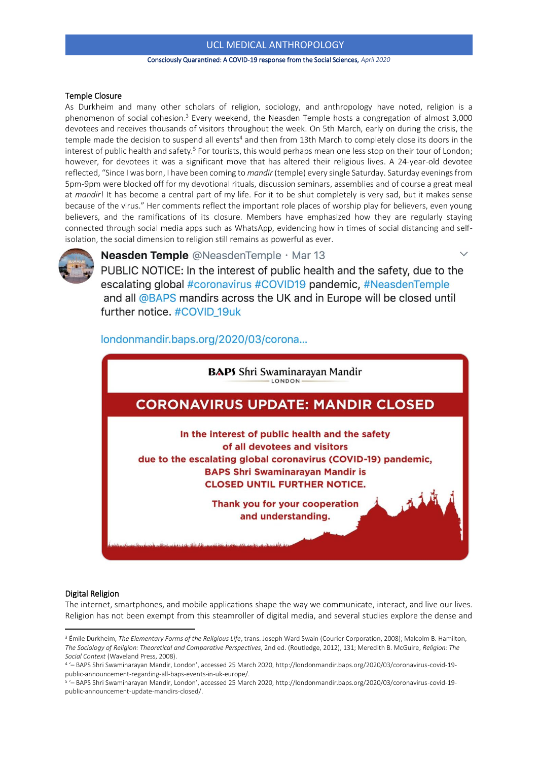Consciously Quarantined: A COVID-19 response from the Social Sciences, *April 2020*

#### Temple Closure

As Durkheim and many other scholars of religion, sociology, and anthropology have noted, religion is a phenomenon of social cohesion.<sup>3</sup> Every weekend, the Neasden Temple hosts a congregation of almost 3,000 devotees and receives thousands of visitors throughout the week. On 5th March, early on during the crisis, the temple made the decision to suspend all events<sup>4</sup> and then from 13th March to completely close its doors in the interest of public health and safety.<sup>5</sup> For tourists, this would perhaps mean one less stop on their tour of London; however, for devotees it was a significant move that has altered their religious lives. A 24-year-old devotee reflected, "Since I was born, I have been coming to *mandir* (temple) every single Saturday. Saturday evenings from 5pm-9pm were blocked off for my devotional rituals, discussion seminars, assemblies and of course a great meal at *mandir*! It has become a central part of my life. For it to be shut completely is very sad, but it makes sense because of the virus." Her comments reflect the important role places of worship play for believers, even young believers, and the ramifications of its closure. Members have emphasized how they are regularly staying connected through social media apps such as WhatsApp, evidencing how in times of social distancing and selfisolation, the social dimension to religion still remains as powerful as ever.



# Neasden Temple @NeasdenTemple · Mar 13

PUBLIC NOTICE: In the interest of public health and the safety, due to the escalating global #coronavirus #COVID19 pandemic, #NeasdenTemple and all @BAPS mandirs across the UK and in Europe will be closed until further notice. #COVID 19uk

londonmandir.baps.org/2020/03/corona...

# **BAPS** Shri Swaminarayan Mandir LONDON **CORONAVIRUS UPDATE: MANDIR CLOSED** In the interest of public health and the safety of all devotees and visitors due to the escalating global coronavirus (COVID-19) pandemic, **BAPS Shri Swaminarayan Mandir is CLOSED UNTIL FURTHER NOTICE.** Thank you for your cooperation and understanding.

#### Digital Religion

The internet, smartphones, and mobile applications shape the way we communicate, interact, and live our lives. Religion has not been exempt from this steamroller of digital media, and several studies explore the dense and

<sup>3</sup> Émile Durkheim, *The Elementary Forms of the Religious Life*, trans. Joseph Ward Swain (Courier Corporation, 2008); Malcolm B. Hamilton, *The Sociology of Religion: Theoretical and Comparative Perspectives*, 2nd ed. (Routledge, 2012), 131; Meredith B. McGuire, *Religion: The Social Context* (Waveland Press, 2008).

<sup>4</sup> '– BAPS Shri Swaminarayan Mandir, London', accessed 25 March 2020, http://londonmandir.baps.org/2020/03/coronavirus-covid-19 public-announcement-regarding-all-baps-events-in-uk-europe/.

<sup>5</sup> '– BAPS Shri Swaminarayan Mandir, London', accessed 25 March 2020, http://londonmandir.baps.org/2020/03/coronavirus-covid-19 public-announcement-update-mandirs-closed/.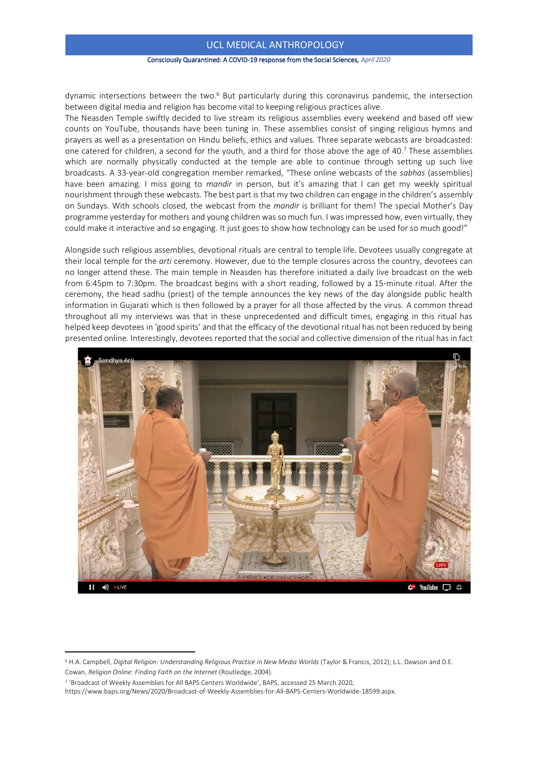#### Consciously Quarantined: A COVID-19 response from the Social Sciences, *April 2020*

dynamic intersections between the two.<sup>6</sup> But particularly during this coronavirus pandemic, the intersection between digital media and religion has become vital to keeping religious practices alive.

The Neasden Temple swiftly decided to live stream its religious assemblies every weekend and based off view counts on YouTube, thousands have been tuning in. These assemblies consist of singing religious hymns and prayers as well as a presentation on Hindu beliefs, ethics and values. Three separate webcasts are broadcasted: one catered for children, a second for the youth, and a third for those above the age of 40. <sup>7</sup> These assemblies which are normally physically conducted at the temple are able to continue through setting up such live broadcasts. A 33-year-old congregation member remarked, "These online webcasts of the *sabhas* (assemblies) have been amazing. I miss going to *mandir* in person, but it's amazing that I can get my weekly spiritual nourishment through these webcasts. The best part is that my two children can engage in the children's assembly on Sundays. With schools closed, the webcast from the *mandir* is brilliant for them! The special Mother's Day programme yesterday for mothers and young children was so much fun. I was impressed how, even virtually, they could make it interactive and so engaging. It just goes to show how technology can be used for so much good!"

Alongside such religious assemblies, devotional rituals are central to temple life. Devotees usually congregate at their local temple for the *arti* ceremony. However, due to the temple closures across the country, devotees can no longer attend these. The main temple in Neasden has therefore initiated a daily live broadcast on the web from 6:45pm to 7:30pm. The broadcast begins with a short reading, followed by a 15-minute ritual. After the ceremony, the head sadhu (priest) of the temple announces the key news of the day alongside public health information in Gujarati which is then followed by a prayer for all those affected by the virus. A common thread throughout all my interviews was that in these unprecedented and difficult times, engaging in this ritual has helped keep devotees in 'good spirits' and that the efficacy of the devotional ritual has not been reduced by being presented online. Interestingly, devotees reported that the social and collective dimension of the ritual has in fact



<sup>6</sup> H.A. Campbell, *Digital Religion: Understanding Religious Practice in New Media Worlds* (Taylor & Francis, 2012); L.L. Dawson and D.E. Cowan, *Religion Online: Finding Faith on the Internet* (Routledge, 2004).

<sup>7</sup> 'Broadcast of Weekly Assemblies for All BAPS Centers Worldwide', BAPS, accessed 25 March 2020,

https://www.baps.org/News/2020/Broadcast-of-Weekly-Assemblies-for-All-BAPS-Centers-Worldwide-18599.aspx.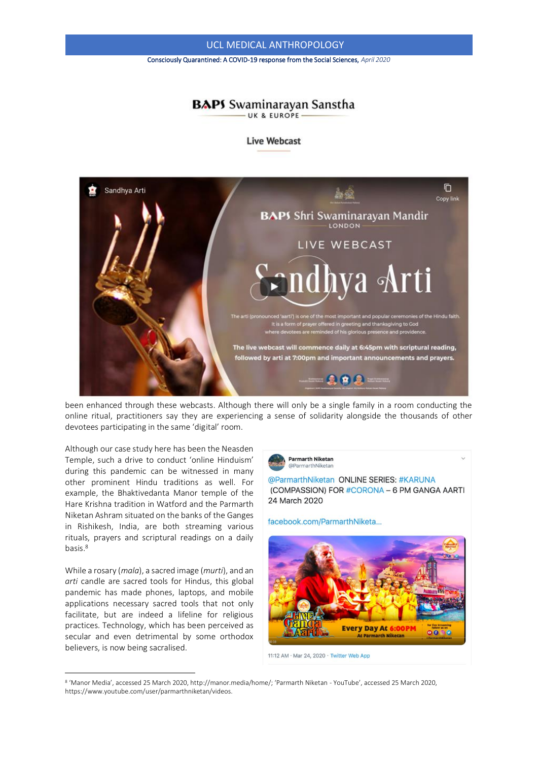Consciously Quarantined: A COVID-19 response from the Social Sciences, *April 2020*

# **BAPS** Swaminarayan Sanstha UK & EUROPE

**Live Webcast** 



been enhanced through these webcasts. Although there will only be a single family in a room conducting the online ritual, practitioners say they are experiencing a sense of solidarity alongside the thousands of other devotees participating in the same 'digital' room.

Although our case study here has been the Neasden Temple, such a drive to conduct 'online Hinduism' during this pandemic can be witnessed in many other prominent Hindu traditions as well. For example, the Bhaktivedanta Manor temple of the Hare Krishna tradition in Watford and the Parmarth Niketan Ashram situated on the banks of the Ganges in Rishikesh, India, are both streaming various rituals, prayers and scriptural readings on a daily basis.<sup>8</sup>

While a rosary (*mala*), a sacred image (*murti*), and an *arti* candle are sacred tools for Hindus, this global pandemic has made phones, laptops, and mobile applications necessary sacred tools that not only facilitate, but are indeed a lifeline for religious practices. Technology, which has been perceived as secular and even detrimental by some orthodox believers, is now being sacralised.



@ParmarthNiketan ONLINE SERIES: #KARUNA (COMPASSION) FOR #CORONA - 6 PM GANGA AARTI 24 March 2020

facebook.com/ParmarthNiketa...



11:12 AM · Mar 24, 2020 · Twitter Web App

8 'Manor Media', accessed 25 March 2020, http://manor.media/home/; 'Parmarth Niketan - YouTube', accessed 25 March 2020, https://www.youtube.com/user/parmarthniketan/videos.